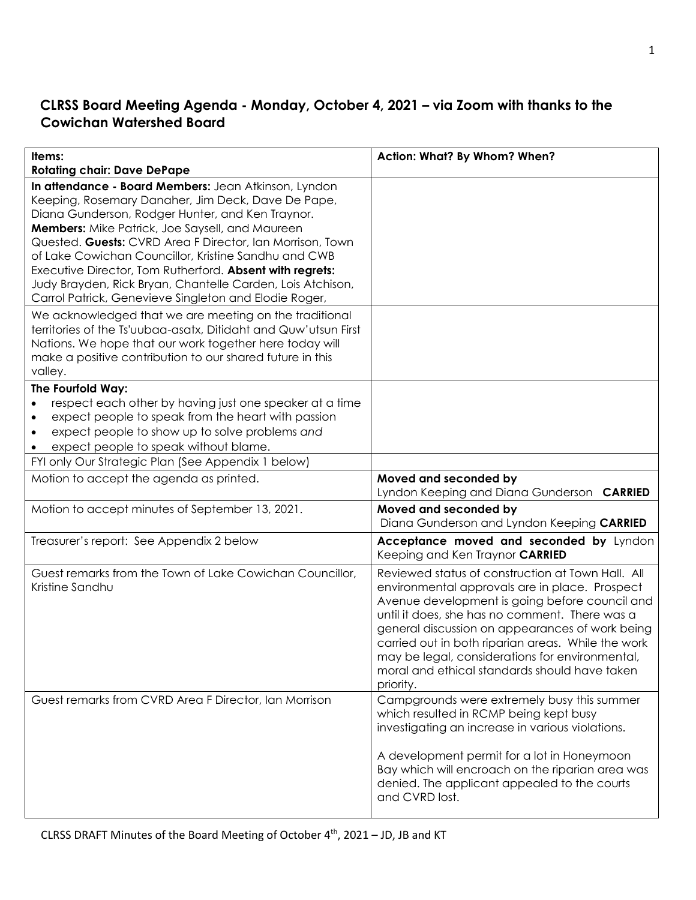# **CLRSS Board Meeting Agenda - Monday, October 4, 2021 – via Zoom with thanks to the Cowichan Watershed Board**

| Items:<br><b>Rotating chair: Dave DePape</b>                                                                                                                                                                                                                                                                                                                                                                                                                                                                              | Action: What? By Whom? When?                                                                                                                                                                                                                                                                                                                                                                                                      |
|---------------------------------------------------------------------------------------------------------------------------------------------------------------------------------------------------------------------------------------------------------------------------------------------------------------------------------------------------------------------------------------------------------------------------------------------------------------------------------------------------------------------------|-----------------------------------------------------------------------------------------------------------------------------------------------------------------------------------------------------------------------------------------------------------------------------------------------------------------------------------------------------------------------------------------------------------------------------------|
| In attendance - Board Members: Jean Atkinson, Lyndon<br>Keeping, Rosemary Danaher, Jim Deck, Dave De Pape,<br>Diana Gunderson, Rodger Hunter, and Ken Traynor.<br>Members: Mike Patrick, Joe Saysell, and Maureen<br>Quested. Guests: CVRD Area F Director, Ian Morrison, Town<br>of Lake Cowichan Councillor, Kristine Sandhu and CWB<br>Executive Director, Tom Rutherford. Absent with regrets:<br>Judy Brayden, Rick Bryan, Chantelle Carden, Lois Atchison,<br>Carrol Patrick, Genevieve Singleton and Elodie Roger, |                                                                                                                                                                                                                                                                                                                                                                                                                                   |
| We acknowledged that we are meeting on the traditional<br>territories of the Ts'uubaa-asatx, Ditidaht and Quw'utsun First<br>Nations. We hope that our work together here today will<br>make a positive contribution to our shared future in this<br>valley.                                                                                                                                                                                                                                                              |                                                                                                                                                                                                                                                                                                                                                                                                                                   |
| The Fourfold Way:<br>respect each other by having just one speaker at a time<br>expect people to speak from the heart with passion<br>expect people to show up to solve problems and<br>expect people to speak without blame.                                                                                                                                                                                                                                                                                             |                                                                                                                                                                                                                                                                                                                                                                                                                                   |
| FYI only Our Strategic Plan (See Appendix 1 below)<br>Motion to accept the agenda as printed.                                                                                                                                                                                                                                                                                                                                                                                                                             | Moved and seconded by<br>Lyndon Keeping and Diana Gunderson CARRIED                                                                                                                                                                                                                                                                                                                                                               |
| Motion to accept minutes of September 13, 2021.                                                                                                                                                                                                                                                                                                                                                                                                                                                                           | Moved and seconded by<br>Diana Gunderson and Lyndon Keeping CARRIED                                                                                                                                                                                                                                                                                                                                                               |
| Treasurer's report: See Appendix 2 below                                                                                                                                                                                                                                                                                                                                                                                                                                                                                  | Acceptance moved and seconded by Lyndon<br>Keeping and Ken Traynor CARRIED                                                                                                                                                                                                                                                                                                                                                        |
| Guest remarks from the Town of Lake Cowichan Councillor,<br>Kristine Sandhu                                                                                                                                                                                                                                                                                                                                                                                                                                               | Reviewed status of construction at Town Hall. All<br>environmental approvals are in place. Prospect<br>Avenue development is going before council and<br>until it does, she has no comment. There was a<br>general discussion on appearances of work being<br>carried out in both riparian areas. While the work<br>may be legal, considerations for environmental,<br>moral and ethical standards should have taken<br>priority. |
| Guest remarks from CVRD Area F Director, Ian Morrison                                                                                                                                                                                                                                                                                                                                                                                                                                                                     | Campgrounds were extremely busy this summer<br>which resulted in RCMP being kept busy<br>investigating an increase in various violations.<br>A development permit for a lot in Honeymoon<br>Bay which will encroach on the riparian area was<br>denied. The applicant appealed to the courts<br>and CVRD lost.                                                                                                                    |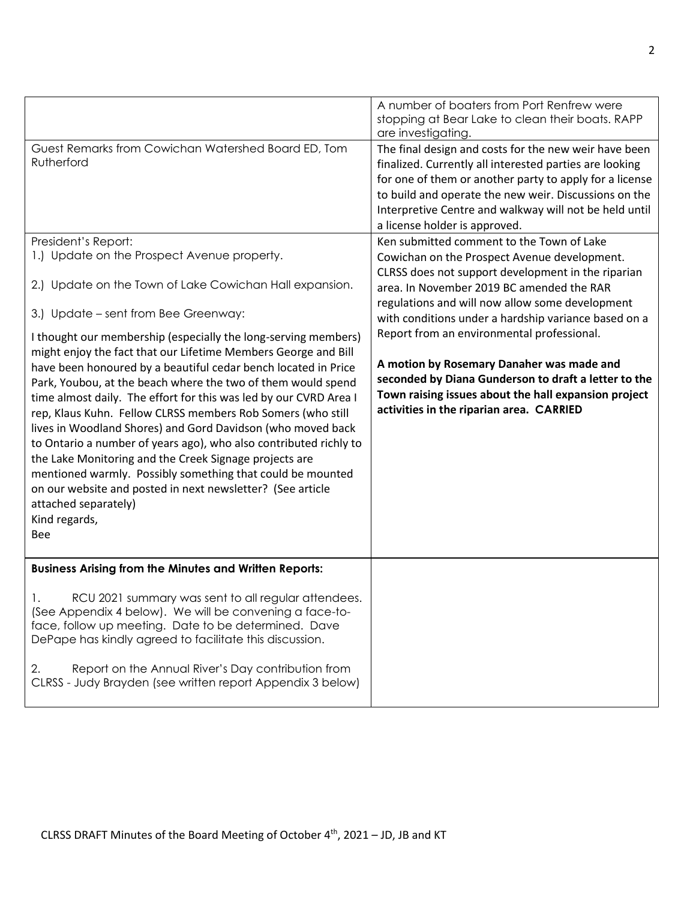|                                                                                                                                                                                                                                                                                                                                                                                                                                                                                                                                                                                                                                                                                                                                                                                                  | A number of boaters from Port Renfrew were<br>stopping at Bear Lake to clean their boats. RAPP<br>are investigating.                                                                                                                                                                                                            |
|--------------------------------------------------------------------------------------------------------------------------------------------------------------------------------------------------------------------------------------------------------------------------------------------------------------------------------------------------------------------------------------------------------------------------------------------------------------------------------------------------------------------------------------------------------------------------------------------------------------------------------------------------------------------------------------------------------------------------------------------------------------------------------------------------|---------------------------------------------------------------------------------------------------------------------------------------------------------------------------------------------------------------------------------------------------------------------------------------------------------------------------------|
| Guest Remarks from Cowichan Watershed Board ED, Tom<br>Rutherford                                                                                                                                                                                                                                                                                                                                                                                                                                                                                                                                                                                                                                                                                                                                | The final design and costs for the new weir have been<br>finalized. Currently all interested parties are looking<br>for one of them or another party to apply for a license<br>to build and operate the new weir. Discussions on the<br>Interpretive Centre and walkway will not be held until<br>a license holder is approved. |
| President's Report:<br>1.) Update on the Prospect Avenue property.                                                                                                                                                                                                                                                                                                                                                                                                                                                                                                                                                                                                                                                                                                                               | Ken submitted comment to the Town of Lake<br>Cowichan on the Prospect Avenue development.                                                                                                                                                                                                                                       |
| 2.) Update on the Town of Lake Cowichan Hall expansion.                                                                                                                                                                                                                                                                                                                                                                                                                                                                                                                                                                                                                                                                                                                                          | CLRSS does not support development in the riparian<br>area. In November 2019 BC amended the RAR<br>regulations and will now allow some development                                                                                                                                                                              |
| 3.) Update – sent from Bee Greenway:<br>I thought our membership (especially the long-serving members)<br>might enjoy the fact that our Lifetime Members George and Bill<br>have been honoured by a beautiful cedar bench located in Price<br>Park, Youbou, at the beach where the two of them would spend<br>time almost daily. The effort for this was led by our CVRD Area I<br>rep, Klaus Kuhn. Fellow CLRSS members Rob Somers (who still<br>lives in Woodland Shores) and Gord Davidson (who moved back<br>to Ontario a number of years ago), who also contributed richly to<br>the Lake Monitoring and the Creek Signage projects are<br>mentioned warmly. Possibly something that could be mounted<br>on our website and posted in next newsletter? (See article<br>attached separately) | with conditions under a hardship variance based on a<br>Report from an environmental professional.<br>A motion by Rosemary Danaher was made and<br>seconded by Diana Gunderson to draft a letter to the<br>Town raising issues about the hall expansion project<br>activities in the riparian area. CARRIED                     |
| Kind regards,<br><b>Bee</b>                                                                                                                                                                                                                                                                                                                                                                                                                                                                                                                                                                                                                                                                                                                                                                      |                                                                                                                                                                                                                                                                                                                                 |
| <b>Business Arising from the Minutes and Written Reports:</b>                                                                                                                                                                                                                                                                                                                                                                                                                                                                                                                                                                                                                                                                                                                                    |                                                                                                                                                                                                                                                                                                                                 |
| RCU 2021 summary was sent to all regular attendees.<br>1.<br>(See Appendix 4 below). We will be convening a face-to-<br>face, follow up meeting. Date to be determined. Dave<br>DePape has kindly agreed to facilitate this discussion.                                                                                                                                                                                                                                                                                                                                                                                                                                                                                                                                                          |                                                                                                                                                                                                                                                                                                                                 |
| 2.<br>Report on the Annual River's Day contribution from<br>CLRSS - Judy Brayden (see written report Appendix 3 below)                                                                                                                                                                                                                                                                                                                                                                                                                                                                                                                                                                                                                                                                           |                                                                                                                                                                                                                                                                                                                                 |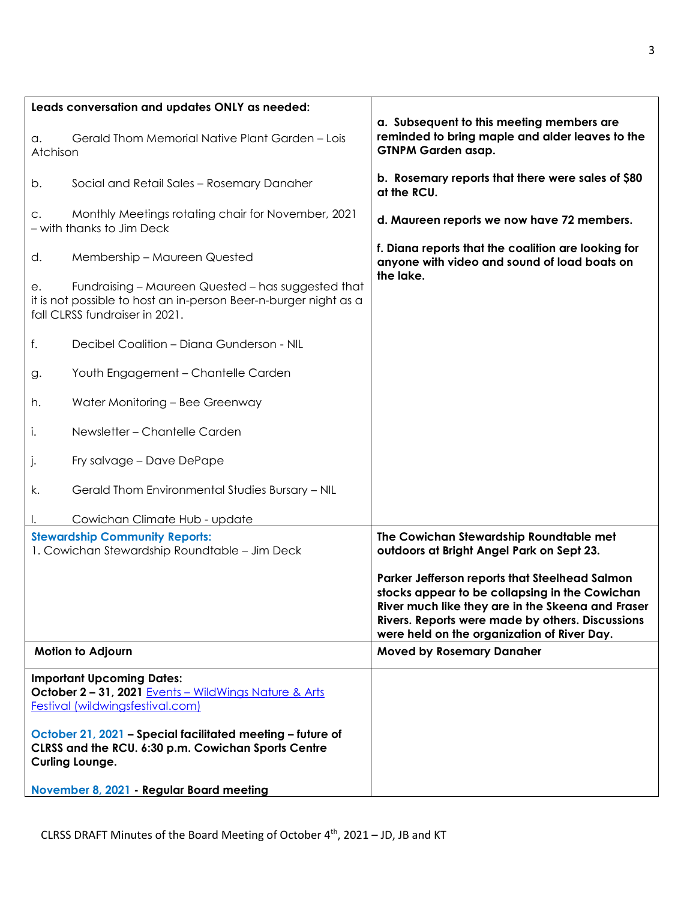| Leads conversation and updates ONLY as needed:                                                                                                                 |                                                                                                                                                                                                                                                          |
|----------------------------------------------------------------------------------------------------------------------------------------------------------------|----------------------------------------------------------------------------------------------------------------------------------------------------------------------------------------------------------------------------------------------------------|
| Gerald Thom Memorial Native Plant Garden - Lois<br>a.<br>Atchison                                                                                              | a. Subsequent to this meeting members are<br>reminded to bring maple and alder leaves to the<br><b>GTNPM Garden asap.</b>                                                                                                                                |
| Social and Retail Sales - Rosemary Danaher<br>b.                                                                                                               | b. Rosemary reports that there were sales of \$80<br>at the RCU.                                                                                                                                                                                         |
| Monthly Meetings rotating chair for November, 2021<br>С.<br>- with thanks to Jim Deck                                                                          | d. Maureen reports we now have 72 members.                                                                                                                                                                                                               |
| Membership - Maureen Quested<br>d.                                                                                                                             | f. Diana reports that the coalition are looking for<br>anyone with video and sound of load boats on                                                                                                                                                      |
| Fundraising - Maureen Quested - has suggested that<br>е.<br>it is not possible to host an in-person Beer-n-burger night as a<br>fall CLRSS fundraiser in 2021. | the lake.                                                                                                                                                                                                                                                |
| Decibel Coalition - Diana Gunderson - NIL<br>f.                                                                                                                |                                                                                                                                                                                                                                                          |
| Youth Engagement - Chantelle Carden<br>g.                                                                                                                      |                                                                                                                                                                                                                                                          |
| Water Monitoring - Bee Greenway<br>h.                                                                                                                          |                                                                                                                                                                                                                                                          |
| Newsletter - Chantelle Carden<br>i.                                                                                                                            |                                                                                                                                                                                                                                                          |
| Fry salvage - Dave DePape<br>J.                                                                                                                                |                                                                                                                                                                                                                                                          |
| Gerald Thom Environmental Studies Bursary - NIL<br>k.                                                                                                          |                                                                                                                                                                                                                                                          |
| Cowichan Climate Hub - update                                                                                                                                  |                                                                                                                                                                                                                                                          |
| <b>Stewardship Community Reports:</b><br>1. Cowichan Stewardship Roundtable - Jim Deck                                                                         | The Cowichan Stewardship Roundtable met<br>outdoors at Bright Angel Park on Sept 23.                                                                                                                                                                     |
|                                                                                                                                                                | Parker Jefferson reports that Steelhead Salmon<br>stocks appear to be collapsing in the Cowichan<br>River much like they are in the Skeena and Fraser<br>Rivers. Reports were made by others. Discussions<br>were held on the organization of River Day. |
| <b>Motion to Adjourn</b>                                                                                                                                       | <b>Moved by Rosemary Danaher</b>                                                                                                                                                                                                                         |
| <b>Important Upcoming Dates:</b><br>October 2 - 31, 2021 Events - WildWings Nature & Arts<br><b>Festival (wildwingsfestival.com)</b>                           |                                                                                                                                                                                                                                                          |
| October 21, 2021 - Special facilitated meeting - future of<br>CLRSS and the RCU. 6:30 p.m. Cowichan Sports Centre<br><b>Curling Lounge.</b>                    |                                                                                                                                                                                                                                                          |
| November 8, 2021 - Regular Board meeting                                                                                                                       |                                                                                                                                                                                                                                                          |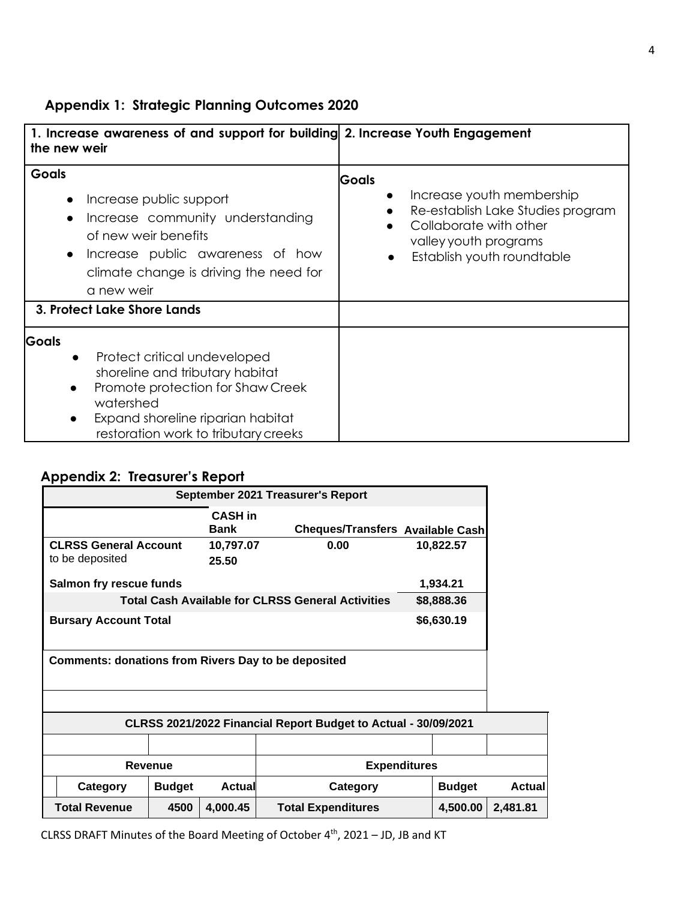# **Appendix 1: Strategic Planning Outcomes 2020**

| 1. Increase awareness of and support for building 2. Increase Youth Engagement<br>the new weir                                                                                                                                    |                                                                                                                                                                              |
|-----------------------------------------------------------------------------------------------------------------------------------------------------------------------------------------------------------------------------------|------------------------------------------------------------------------------------------------------------------------------------------------------------------------------|
| <b>Goals</b><br>Increase public support<br>Increase community understanding<br>$\bullet$<br>of new weir benefits<br>Increase public awareness of how<br>$\bullet$<br>climate change is driving the need for<br>a new weir         | <b>Goals</b><br>Increase youth membership<br>Re-establish Lake Studies program<br>Collaborate with other<br>valley youth programs<br>Establish youth roundtable<br>$\bullet$ |
| 3. Protect Lake Shore Lands                                                                                                                                                                                                       |                                                                                                                                                                              |
| Goals<br>Protect critical undeveloped<br>$\bullet$<br>shoreline and tributary habitat<br>Promote protection for Shaw Creek<br>$\bullet$<br>watershed<br>Expand shoreline riparian habitat<br>restoration work to tributary creeks |                                                                                                                                                                              |

# **Appendix 2: Treasurer's Report**

| September 2021 Treasurer's Report                              |               |                               |                                                          |  |               |               |
|----------------------------------------------------------------|---------------|-------------------------------|----------------------------------------------------------|--|---------------|---------------|
|                                                                |               | <b>CASH</b> in<br><b>Bank</b> | Cheques/Transfers Available Cash                         |  |               |               |
| <b>CLRSS General Account</b><br>to be deposited                |               | 10,797.07<br>25.50            | 0.00                                                     |  | 10,822.57     |               |
| Salmon fry rescue funds                                        |               |                               |                                                          |  | 1,934.21      |               |
|                                                                |               |                               | <b>Total Cash Available for CLRSS General Activities</b> |  | \$8,888.36    |               |
| <b>Bursary Account Total</b>                                   |               |                               |                                                          |  | \$6,630.19    |               |
|                                                                |               |                               |                                                          |  |               |               |
| <b>Comments: donations from Rivers Day to be deposited</b>     |               |                               |                                                          |  |               |               |
|                                                                |               |                               |                                                          |  |               |               |
| CLRSS 2021/2022 Financial Report Budget to Actual - 30/09/2021 |               |                               |                                                          |  |               |               |
|                                                                |               |                               |                                                          |  |               |               |
| <b>Expenditures</b><br><b>Revenue</b>                          |               |                               |                                                          |  |               |               |
| Category                                                       | <b>Budget</b> | <b>Actual</b>                 | Category                                                 |  | <b>Budget</b> | <b>Actual</b> |
| <b>Total Revenue</b>                                           | 4500          | 4,000.45                      | <b>Total Expenditures</b>                                |  | 4,500.00      | 2,481.81      |

CLRSS DRAFT Minutes of the Board Meeting of October 4<sup>th</sup>, 2021 – JD, JB and KT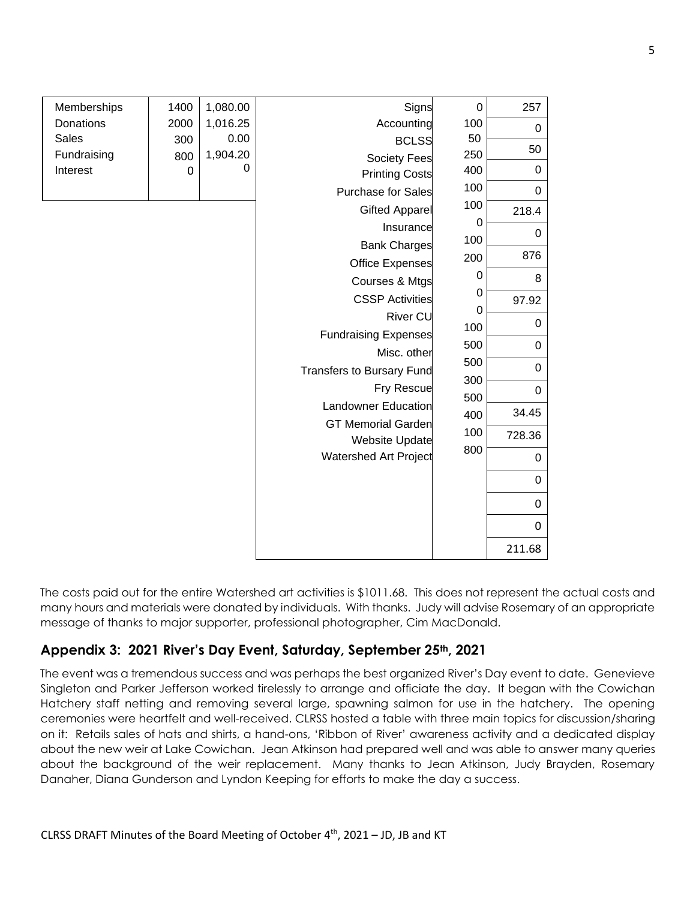| Memberships  | 1400     | 1,080.00             | Signs                            | $\mathbf 0$ | 257         |
|--------------|----------|----------------------|----------------------------------|-------------|-------------|
| Donations    | 2000     | 1,016.25             | Accounting                       | 100         | 0           |
| <b>Sales</b> | 300      | 0.00                 | <b>BCLSS</b>                     | 50          | 50          |
| Fundraising  | 800      | 1,904.20<br>$\Omega$ | <b>Society Fees</b>              | 250         |             |
| Interest     | $\Omega$ |                      | <b>Printing Costs</b>            | 400         | 0           |
|              |          |                      | <b>Purchase for Sales</b>        | 100         | 0           |
|              |          |                      | <b>Gifted Apparel</b>            | 100         | 218.4       |
|              |          |                      | Insurance                        | 0           | 0           |
|              |          |                      | <b>Bank Charges</b>              | 100         |             |
|              |          |                      | <b>Office Expenses</b>           | 200         | 876         |
|              |          |                      | Courses & Mtgs                   | 0           | 8           |
|              |          |                      | <b>CSSP Activities</b>           | 0<br>0      | 97.92       |
|              |          |                      | River CU                         | 100         | 0           |
|              |          |                      | <b>Fundraising Expenses</b>      | 500         | 0           |
|              |          |                      | Misc. other                      | 500         |             |
|              |          |                      | <b>Transfers to Bursary Fund</b> | 300         | $\mathbf 0$ |
|              |          |                      | <b>Fry Rescue</b>                | 500         | 0           |
|              |          |                      | <b>Landowner Education</b>       | 400         | 34.45       |
|              |          |                      | <b>GT Memorial Garden</b>        | 100         | 728.36      |
|              |          |                      | <b>Website Update</b>            | 800         |             |
|              |          |                      | Watershed Art Project            |             | 0           |
|              |          |                      |                                  |             | $\mathbf 0$ |
|              |          |                      |                                  |             | 0           |
|              |          |                      |                                  |             | 0           |
|              |          |                      |                                  |             | 211.68      |

The costs paid out for the entire Watershed art activities is \$1011.68. This does not represent the actual costs and many hours and materials were donated by individuals. With thanks. Judy will advise Rosemary of an appropriate message of thanks to major supporter, professional photographer, Cim MacDonald.

## **Appendix 3: 2021 River's Day Event, Saturday, September 25th, 2021**

The event was a tremendous success and was perhaps the best organized River's Day event to date. Genevieve Singleton and Parker Jefferson worked tirelessly to arrange and officiate the day. It began with the Cowichan Hatchery staff netting and removing several large, spawning salmon for use in the hatchery. The opening ceremonies were heartfelt and well-received. CLRSS hosted a table with three main topics for discussion/sharing on it: Retails sales of hats and shirts, a hand-ons, 'Ribbon of River' awareness activity and a dedicated display about the new weir at Lake Cowichan. Jean Atkinson had prepared well and was able to answer many queries about the background of the weir replacement. Many thanks to Jean Atkinson, Judy Brayden, Rosemary Danaher, Diana Gunderson and Lyndon Keeping for efforts to make the day a success.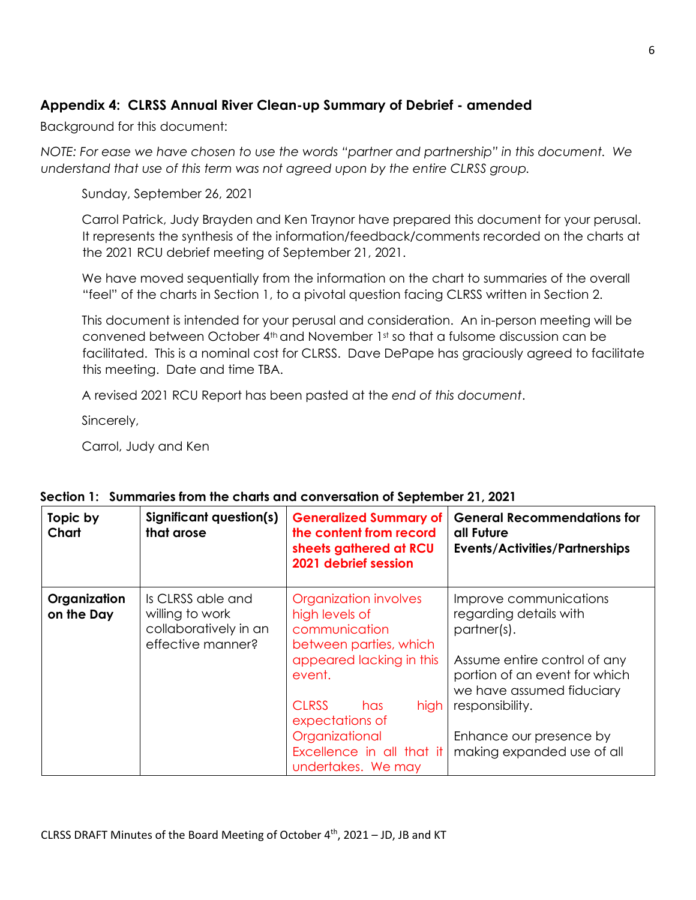# **Appendix 4: CLRSS Annual River Clean-up Summary of Debrief - amended**

Background for this document:

*NOTE: For ease we have chosen to use the words "partner and partnership" in this document. We*  understand that use of this term was not agreed upon by the entire CLRSS group.

Sunday, September 26, 2021

Carrol Patrick, Judy Brayden and Ken Traynor have prepared this document for your perusal. It represents the synthesis of the information/feedback/comments recorded on the charts at the 2021 RCU debrief meeting of September 21, 2021.

We have moved sequentially from the information on the chart to summaries of the overall "feel" of the charts in Section 1, to a pivotal question facing CLRSS written in Section 2.

This document is intended for your perusal and consideration. An in-person meeting will be convened between October 4th and November 1st so that a fulsome discussion can be facilitated. This is a nominal cost for CLRSS. Dave DePape has graciously agreed to facilitate this meeting. Date and time TBA.

A revised 2021 RCU Report has been pasted at the *end of this document*.

Sincerely,

Carrol, Judy and Ken

| Topic by<br>Chart          | <b>Significant question(s)</b><br>that arose                                       | <b>Generalized Summary of</b><br>the content from record<br>sheets gathered at RCU<br>2021 debrief session                                                                                                                                      | <b>General Recommendations for</b><br>all Future<br><b>Events/Activities/Partnerships</b>                                                                                                                                                 |
|----------------------------|------------------------------------------------------------------------------------|-------------------------------------------------------------------------------------------------------------------------------------------------------------------------------------------------------------------------------------------------|-------------------------------------------------------------------------------------------------------------------------------------------------------------------------------------------------------------------------------------------|
| Organization<br>on the Day | Is CLRSS able and<br>willing to work<br>collaboratively in an<br>effective manner? | Organization involves<br>high levels of<br>communication<br>between parties, which<br>appeared lacking in this<br>event.<br><b>CLRSS</b><br>high<br>has<br>expectations of<br>Organizational<br>Excellence in all that it<br>undertakes. We may | Improve communications<br>regarding details with<br>partner(s).<br>Assume entire control of any<br>portion of an event for which<br>we have assumed fiduciary<br>responsibility.<br>Enhance our presence by<br>making expanded use of all |

#### **Section 1: Summaries from the charts and conversation of September 21, 2021**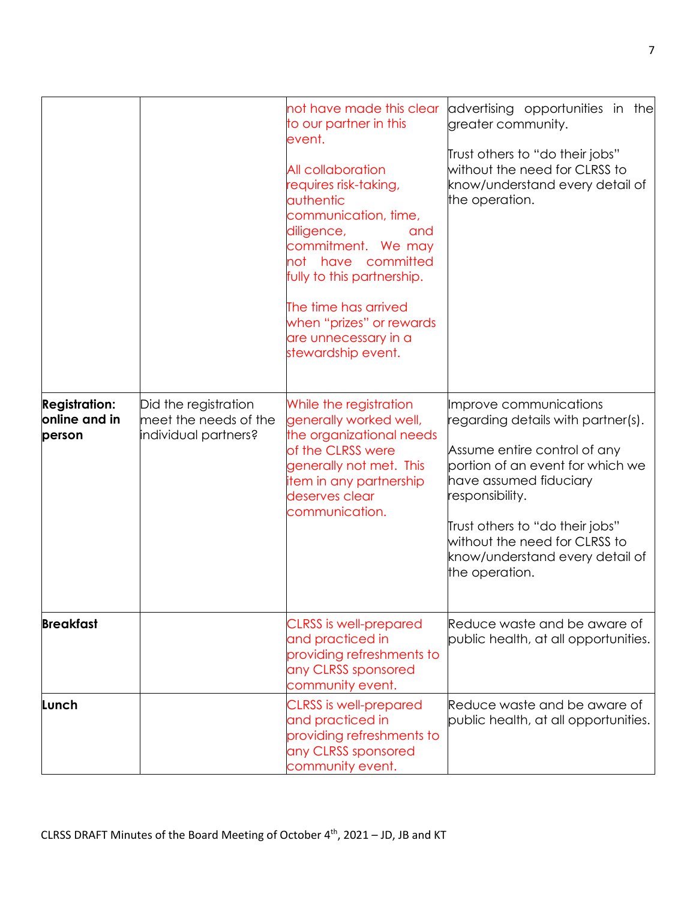|                                                 |                                                                       | not have made this clear<br>to our partner in this<br>event.<br>All collaboration<br>requires risk-taking,<br><b>authentic</b><br>communication, time,<br>diligence,<br>and<br>commitment. We may<br>not have committed<br>fully to this partnership.<br>The time has arrived<br>when "prizes" or rewards<br>are unnecessary in a<br>stewardship event. | advertising opportunities in the<br>greater community.<br>Trust others to "do their jobs"<br>without the need for CLRSS to<br>know/understand every detail of<br>the operation.                                                                                                                        |
|-------------------------------------------------|-----------------------------------------------------------------------|---------------------------------------------------------------------------------------------------------------------------------------------------------------------------------------------------------------------------------------------------------------------------------------------------------------------------------------------------------|--------------------------------------------------------------------------------------------------------------------------------------------------------------------------------------------------------------------------------------------------------------------------------------------------------|
| <b>Registration:</b><br>online and in<br>person | Did the registration<br>meet the needs of the<br>individual partners? | While the registration<br>generally worked well,<br>the organizational needs<br>of the CLRSS were<br>generally not met. This<br>item in any partnership<br>deserves clear<br>communication.                                                                                                                                                             | Improve communications<br>regarding details with partner(s).<br>Assume entire control of any<br>portion of an event for which we<br>have assumed fiduciary<br>responsibility.<br>Trust others to "do their jobs"<br>without the need for CLRSS to<br>know/understand every detail of<br>the operation. |
| <b>Breakfast</b>                                |                                                                       | <b>CLRSS</b> is well-prepared<br>and practiced in<br>providing refreshments to<br>any CLRSS sponsored<br>community event.                                                                                                                                                                                                                               | Reduce waste and be aware of<br>public health, at all opportunities.                                                                                                                                                                                                                                   |
| Lunch                                           |                                                                       | <b>CLRSS</b> is well-prepared<br>and practiced in<br>providing refreshments to<br>any CLRSS sponsored<br>community event.                                                                                                                                                                                                                               | Reduce waste and be aware of<br>public health, at all opportunities.                                                                                                                                                                                                                                   |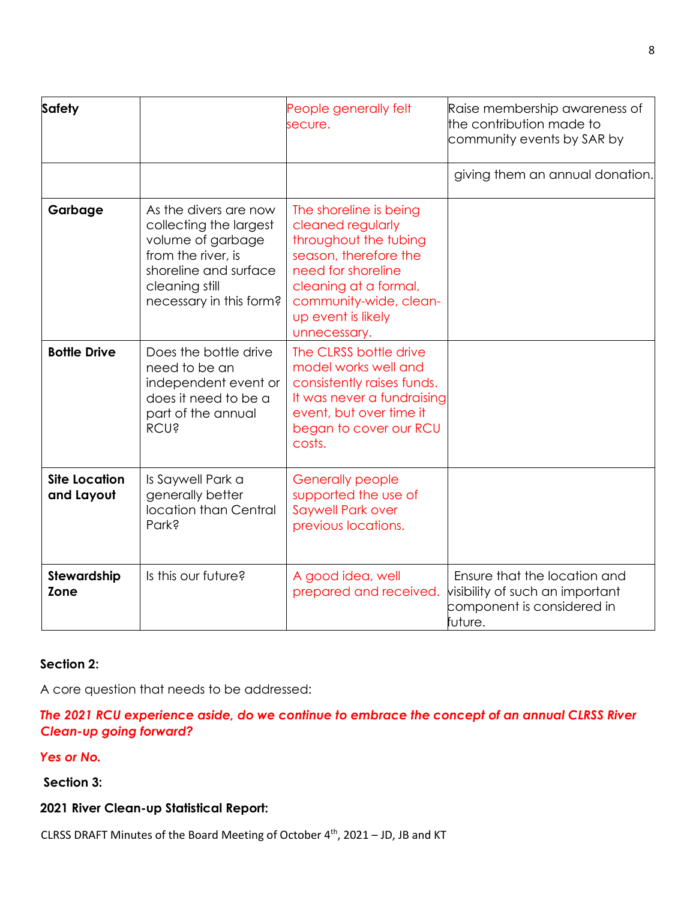| <b>Safety</b>                      |                                                                                                                                                                  | People generally felt<br>secure.                                                                                                                                                                             | Raise membership awareness of<br>the contribution made to<br>community events by SAR by                  |
|------------------------------------|------------------------------------------------------------------------------------------------------------------------------------------------------------------|--------------------------------------------------------------------------------------------------------------------------------------------------------------------------------------------------------------|----------------------------------------------------------------------------------------------------------|
|                                    |                                                                                                                                                                  |                                                                                                                                                                                                              | giving them an annual donation.                                                                          |
| Garbage                            | As the divers are now<br>collecting the largest<br>volume of garbage<br>from the river, is<br>shoreline and surface<br>cleaning still<br>necessary in this form? | The shoreline is being<br>cleaned regularly<br>throughout the tubing<br>season, therefore the<br>need for shoreline<br>cleaning at a formal,<br>community-wide, clean-<br>up event is likely<br>unnecessary. |                                                                                                          |
| <b>Bottle Drive</b>                | Does the bottle drive<br>need to be an<br>independent event or<br>does it need to be a<br>part of the annual<br><b>RCU?</b>                                      | The CLRSS bottle drive<br>model works well and<br>consistently raises funds.<br>It was never a fundraising<br>event, but over time it<br>began to cover our RCU<br>costs.                                    |                                                                                                          |
| <b>Site Location</b><br>and Layout | Is Saywell Park a<br>generally better<br>location than Central<br>Park?                                                                                          | <b>Generally people</b><br>supported the use of<br><b>Saywell Park over</b><br>previous locations.                                                                                                           |                                                                                                          |
| Stewardship<br>Zone                | Is this our future?                                                                                                                                              | A good idea, well<br>prepared and received.                                                                                                                                                                  | Ensure that the location and<br>visibility of such an important<br>component is considered in<br>future. |

#### **Section 2:**

A core question that needs to be addressed:

### *The 2021 RCU experience aside, do we continue to embrace the concept of an annual CLRSS River Clean-up going forward?*

*Yes or No.* 

**Section 3:** 

**2021 River Clean-up Statistical Report:** 

CLRSS DRAFT Minutes of the Board Meeting of October 4<sup>th</sup>, 2021 – JD, JB and KT